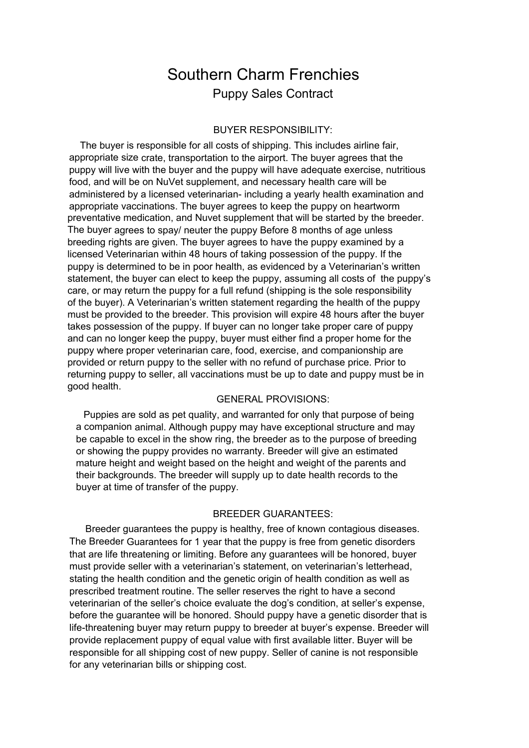## Southern Charm Frenchies Puppy Sales Contract

## BUYER RESPONSIBILITY:

The buyer is responsible for all costs of shipping. This includes airline fair, appropriate size crate, transportation to the airport. The buyer agrees that the puppy will live with the buyer and the puppy will have adequate exercise, nutritious food, and will be on NuVet supplement, and necessary health care will be administered by a licensed veterinarian- including a yearly health examination and appropriate vaccinations. The buyer agrees to keep the puppy on heartworm preventative medication, and Nuvet supplement that will be started by the breeder. The buyer agrees to spay/ neuter the puppy Before 8 months of age unless breeding rights are given. The buyer agrees to have the puppy examined by a licensed Veterinarian within 48 hours of taking possession of the puppy. If the puppy is determined to be in poor health, as evidenced by a Veterinarian's written statement, the buyer can elect to keep the puppy, assuming all costs of the puppy's care, or may return the puppy for a full refund (shipping is the sole responsibility of the buyer). A Veterinarian's written statement regarding the health of the puppy must be provided to the breeder. This provision will expire 48 hours after the buyer takes possession of the puppy. If buyer can no longer take proper care of puppy and can no longer keep the puppy, buyer must either find a proper home for the puppy where proper veterinarian care, food, exercise, and companionship are provided or return puppy to the seller with no refund of purchase price. Prior to returning puppy to seller, all vaccinations must be up to date and puppy must be in good health.

## GENERAL PROVISIONS:

Puppies are sold as pet quality, and warranted for only that purpose of being a companion animal. Although puppy may have exceptional structure and may be capable to excel in the show ring, the breeder as to the purpose of breeding or showing the puppy provides no warranty. Breeder will give an estimated mature height and weight based on the height and weight of the parents and their backgrounds. The breeder will supply up to date health records to the buyer at time of transfer of the puppy.

## BREEDER GUARANTEES:

Breeder guarantees the puppy is healthy, free of known contagious diseases. The Breeder Guarantees for 1 year that the puppy is free from genetic disorders that are life threatening or limiting. Before any guarantees will be honored, buyer must provide seller with a veterinarian's statement, on veterinarian's letterhead, stating the health condition and the genetic origin of health condition as well as prescribed treatment routine. The seller reserves the right to have a second veterinarian of the seller's choice evaluate the dog's condition, at seller's expense, before the guarantee will be honored. Should puppy have a genetic disorder that is life-threatening buyer may return puppy to breeder at buyer's expense. Breeder will provide replacement puppy of equal value with first available litter. Buyer will be responsible for all shipping cost of new puppy. Seller of canine is not responsible for any veterinarian bills or shipping cost.